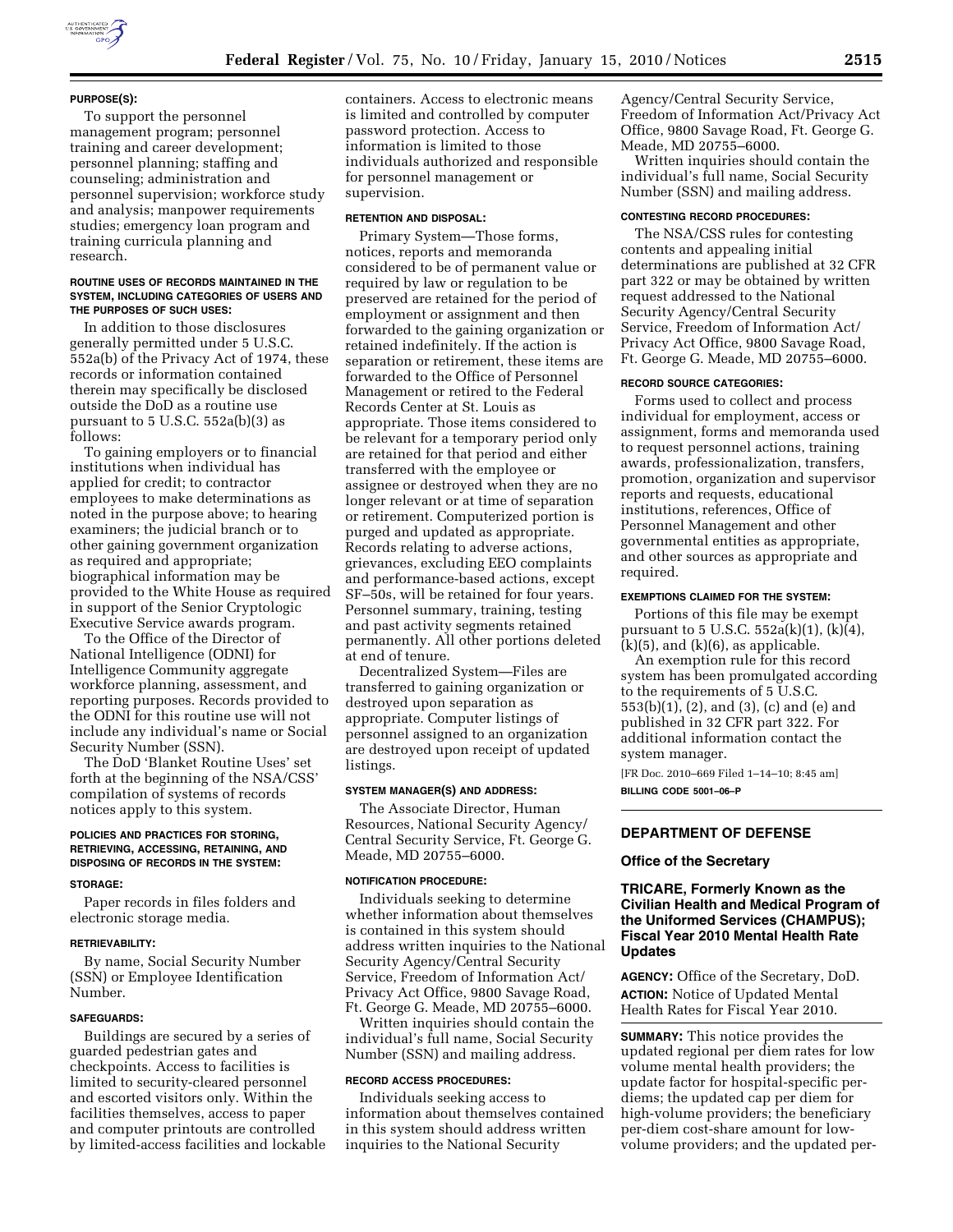### **PURPOSE(S):**

To support the personnel management program; personnel training and career development; personnel planning; staffing and counseling; administration and personnel supervision; workforce study and analysis; manpower requirements studies; emergency loan program and training curricula planning and research.

### **ROUTINE USES OF RECORDS MAINTAINED IN THE SYSTEM, INCLUDING CATEGORIES OF USERS AND THE PURPOSES OF SUCH USES:**

In addition to those disclosures generally permitted under 5 U.S.C. 552a(b) of the Privacy Act of 1974, these records or information contained therein may specifically be disclosed outside the DoD as a routine use pursuant to  $5 \text{ U.S.C. } 552a(b)(3)$  as follows:

To gaining employers or to financial institutions when individual has applied for credit; to contractor employees to make determinations as noted in the purpose above; to hearing examiners; the judicial branch or to other gaining government organization as required and appropriate; biographical information may be provided to the White House as required in support of the Senior Cryptologic Executive Service awards program.

To the Office of the Director of National Intelligence (ODNI) for Intelligence Community aggregate workforce planning, assessment, and reporting purposes. Records provided to the ODNI for this routine use will not include any individual's name or Social Security Number (SSN).

The DoD 'Blanket Routine Uses' set forth at the beginning of the NSA/CSS' compilation of systems of records notices apply to this system.

### **POLICIES AND PRACTICES FOR STORING, RETRIEVING, ACCESSING, RETAINING, AND DISPOSING OF RECORDS IN THE SYSTEM:**

#### **STORAGE:**

Paper records in files folders and electronic storage media.

#### **RETRIEVABILITY:**

By name, Social Security Number (SSN) or Employee Identification Number.

### **SAFEGUARDS:**

Buildings are secured by a series of guarded pedestrian gates and checkpoints. Access to facilities is limited to security-cleared personnel and escorted visitors only. Within the facilities themselves, access to paper and computer printouts are controlled by limited-access facilities and lockable containers. Access to electronic means is limited and controlled by computer password protection. Access to information is limited to those individuals authorized and responsible for personnel management or supervision.

### **RETENTION AND DISPOSAL:**

Primary System—Those forms, notices, reports and memoranda considered to be of permanent value or required by law or regulation to be preserved are retained for the period of employment or assignment and then forwarded to the gaining organization or retained indefinitely. If the action is separation or retirement, these items are forwarded to the Office of Personnel Management or retired to the Federal Records Center at St. Louis as appropriate. Those items considered to be relevant for a temporary period only are retained for that period and either transferred with the employee or assignee or destroyed when they are no longer relevant or at time of separation or retirement. Computerized portion is purged and updated as appropriate. Records relating to adverse actions, grievances, excluding EEO complaints and performance-based actions, except SF–50s, will be retained for four years. Personnel summary, training, testing and past activity segments retained permanently. All other portions deleted at end of tenure.

Decentralized System—Files are transferred to gaining organization or destroyed upon separation as appropriate. Computer listings of personnel assigned to an organization are destroyed upon receipt of updated listings.

#### **SYSTEM MANAGER(S) AND ADDRESS:**

The Associate Director, Human Resources, National Security Agency/ Central Security Service, Ft. George G. Meade, MD 20755–6000.

#### **NOTIFICATION PROCEDURE:**

Individuals seeking to determine whether information about themselves is contained in this system should address written inquiries to the National Security Agency/Central Security Service, Freedom of Information Act/ Privacy Act Office, 9800 Savage Road, Ft. George G. Meade, MD 20755–6000.

Written inquiries should contain the individual's full name, Social Security Number (SSN) and mailing address.

### **RECORD ACCESS PROCEDURES:**

Individuals seeking access to information about themselves contained in this system should address written inquiries to the National Security

Agency/Central Security Service, Freedom of Information Act/Privacy Act Office, 9800 Savage Road, Ft. George G. Meade, MD 20755–6000.

Written inquiries should contain the individual's full name, Social Security Number (SSN) and mailing address.

#### **CONTESTING RECORD PROCEDURES:**

The NSA/CSS rules for contesting contents and appealing initial determinations are published at 32 CFR part 322 or may be obtained by written request addressed to the National Security Agency/Central Security Service, Freedom of Information Act/ Privacy Act Office, 9800 Savage Road, Ft. George G. Meade, MD 20755–6000.

### **RECORD SOURCE CATEGORIES:**

Forms used to collect and process individual for employment, access or assignment, forms and memoranda used to request personnel actions, training awards, professionalization, transfers, promotion, organization and supervisor reports and requests, educational institutions, references, Office of Personnel Management and other governmental entities as appropriate, and other sources as appropriate and required.

#### **EXEMPTIONS CLAIMED FOR THE SYSTEM:**

Portions of this file may be exempt pursuant to 5 U.S.C. 552a(k)(1), (k)(4),  $(k)(5)$ , and  $(k)(6)$ , as applicable.

An exemption rule for this record system has been promulgated according to the requirements of 5 U.S.C. 553(b)(1), (2), and (3), (c) and (e) and published in 32 CFR part 322. For additional information contact the system manager.

[FR Doc. 2010–669 Filed 1–14–10; 8:45 am] **BILLING CODE 5001–06–P** 

### **DEPARTMENT OF DEFENSE**

### **Office of the Secretary**

# **TRICARE, Formerly Known as the Civilian Health and Medical Program of the Uniformed Services (CHAMPUS); Fiscal Year 2010 Mental Health Rate Updates**

**AGENCY:** Office of the Secretary, DoD. **ACTION:** Notice of Updated Mental Health Rates for Fiscal Year 2010.

**SUMMARY:** This notice provides the updated regional per diem rates for low volume mental health providers; the update factor for hospital-specific perdiems; the updated cap per diem for high-volume providers; the beneficiary per-diem cost-share amount for lowvolume providers; and the updated per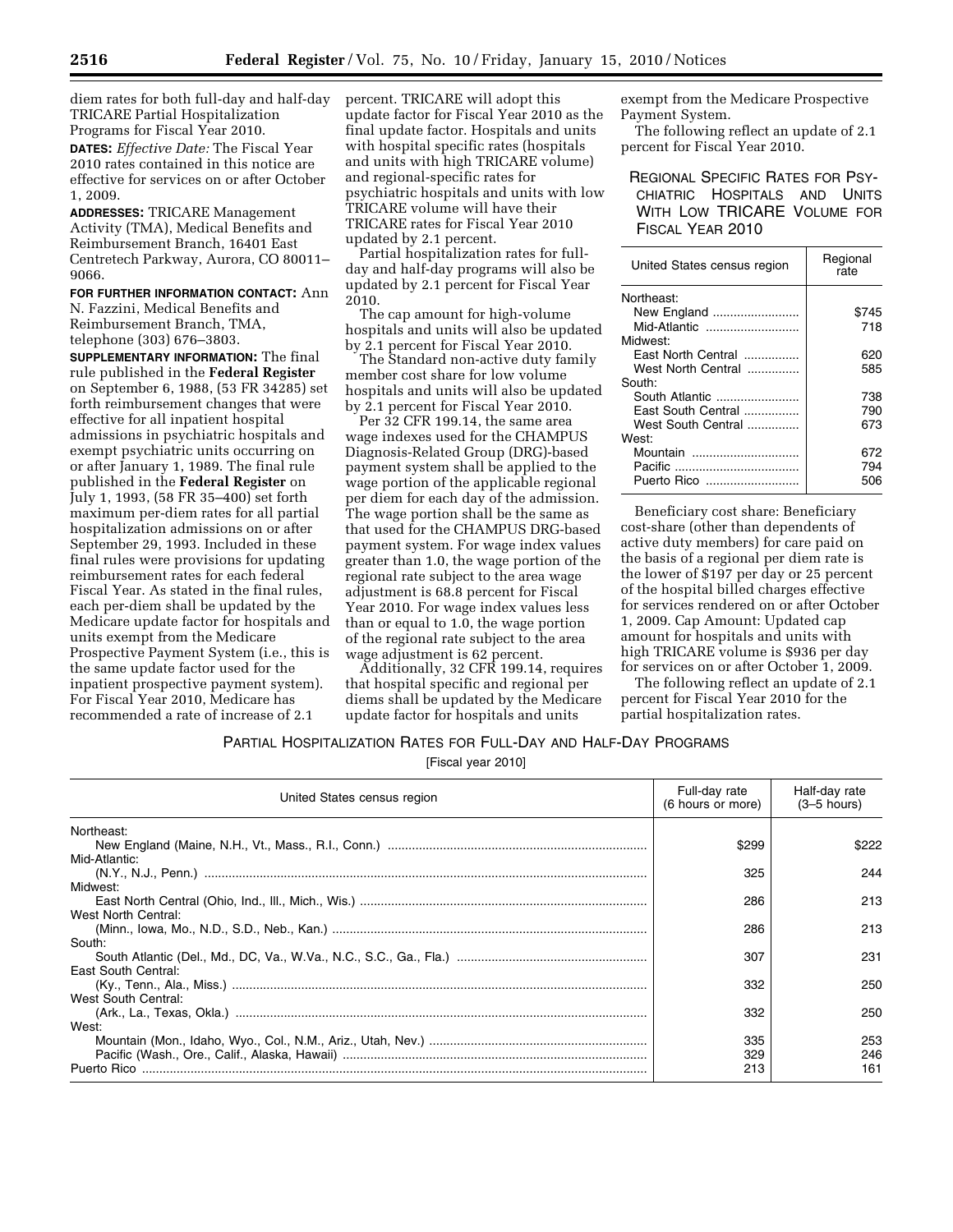diem rates for both full-day and half-day TRICARE Partial Hospitalization Programs for Fiscal Year 2010.

**DATES:** *Effective Date:* The Fiscal Year 2010 rates contained in this notice are effective for services on or after October 1, 2009.

**ADDRESSES:** TRICARE Management Activity (TMA), Medical Benefits and Reimbursement Branch, 16401 East Centretech Parkway, Aurora, CO 80011– 9066.

**FOR FURTHER INFORMATION CONTACT:** Ann N. Fazzini, Medical Benefits and Reimbursement Branch, TMA, telephone (303) 676–3803.

**SUPPLEMENTARY INFORMATION:** The final rule published in the **Federal Register**  on September 6, 1988, (53 FR 34285) set forth reimbursement changes that were effective for all inpatient hospital admissions in psychiatric hospitals and exempt psychiatric units occurring on or after January 1, 1989. The final rule published in the **Federal Register** on July 1, 1993, (58 FR 35–400) set forth maximum per-diem rates for all partial hospitalization admissions on or after September 29, 1993. Included in these final rules were provisions for updating reimbursement rates for each federal Fiscal Year. As stated in the final rules, each per-diem shall be updated by the Medicare update factor for hospitals and units exempt from the Medicare Prospective Payment System (i.e., this is the same update factor used for the inpatient prospective payment system). For Fiscal Year 2010, Medicare has recommended a rate of increase of 2.1

percent. TRICARE will adopt this update factor for Fiscal Year 2010 as the final update factor. Hospitals and units with hospital specific rates (hospitals and units with high TRICARE volume) and regional-specific rates for psychiatric hospitals and units with low TRICARE volume will have their TRICARE rates for Fiscal Year 2010 updated by 2.1 percent.

Partial hospitalization rates for fullday and half-day programs will also be updated by 2.1 percent for Fiscal Year 2010.

The cap amount for high-volume hospitals and units will also be updated by 2.1 percent for Fiscal Year 2010.

The Standard non-active duty family member cost share for low volume hospitals and units will also be updated by 2.1 percent for Fiscal Year 2010.

Per 32 CFR 199.14, the same area wage indexes used for the CHAMPUS Diagnosis-Related Group (DRG)-based payment system shall be applied to the wage portion of the applicable regional per diem for each day of the admission. The wage portion shall be the same as that used for the CHAMPUS DRG-based payment system. For wage index values greater than 1.0, the wage portion of the regional rate subject to the area wage adjustment is 68.8 percent for Fiscal Year 2010. For wage index values less than or equal to 1.0, the wage portion of the regional rate subject to the area wage adjustment is 62 percent.

Additionally, 32 CFR 199.14, requires that hospital specific and regional per diems shall be updated by the Medicare update factor for hospitals and units

exempt from the Medicare Prospective Payment System.

The following reflect an update of 2.1 percent for Fiscal Year 2010.

REGIONAL SPECIFIC RATES FOR PSY-CHIATRIC HOSPITALS AND UNITS WITH LOW TRICARE VOLUME FOR FISCAL YEAR 2010

| United States census region | Regional<br>rate |  |
|-----------------------------|------------------|--|
| Northeast:                  |                  |  |
| New England                 | \$745            |  |
| Mid-Atlantic                | 718              |  |
| Midwest:                    |                  |  |
| East North Central          | 620              |  |
| West North Central          | 585              |  |
| South:                      |                  |  |
| South Atlantic              | 738              |  |
| East South Central          | 790              |  |
| West South Central          | 673              |  |
| West:                       |                  |  |
| Mountain<br>                | 672              |  |
| Pacific<br>                 | 794              |  |
| Puerto Rico                 | 506              |  |

Beneficiary cost share: Beneficiary cost-share (other than dependents of active duty members) for care paid on the basis of a regional per diem rate is the lower of \$197 per day or 25 percent of the hospital billed charges effective for services rendered on or after October 1, 2009. Cap Amount: Updated cap amount for hospitals and units with high TRICARE volume is \$936 per day for services on or after October 1, 2009.

The following reflect an update of 2.1 percent for Fiscal Year 2010 for the partial hospitalization rates.

# PARTIAL HOSPITALIZATION RATES FOR FULL-DAY AND HALF-DAY PROGRAMS

[Fiscal year 2010]

| United States census region   | Full-day rate<br>$(6 \text{ hours or more})$ | Half-day rate<br>$(3-5$ hours) |
|-------------------------------|----------------------------------------------|--------------------------------|
| Northeast:                    | \$299                                        | \$222                          |
| Mid-Atlantic:                 | 325                                          | 244                            |
| Midwest:                      | 286                                          | 213                            |
| West North Central:           | 286                                          | 213                            |
| South:<br>East South Central: | 307                                          | 231                            |
| West South Central:           | 332                                          | 250                            |
| West:                         | 332                                          | 250                            |
| Puerto Rico                   | 335<br>329<br>213                            | 253<br>246<br>161              |